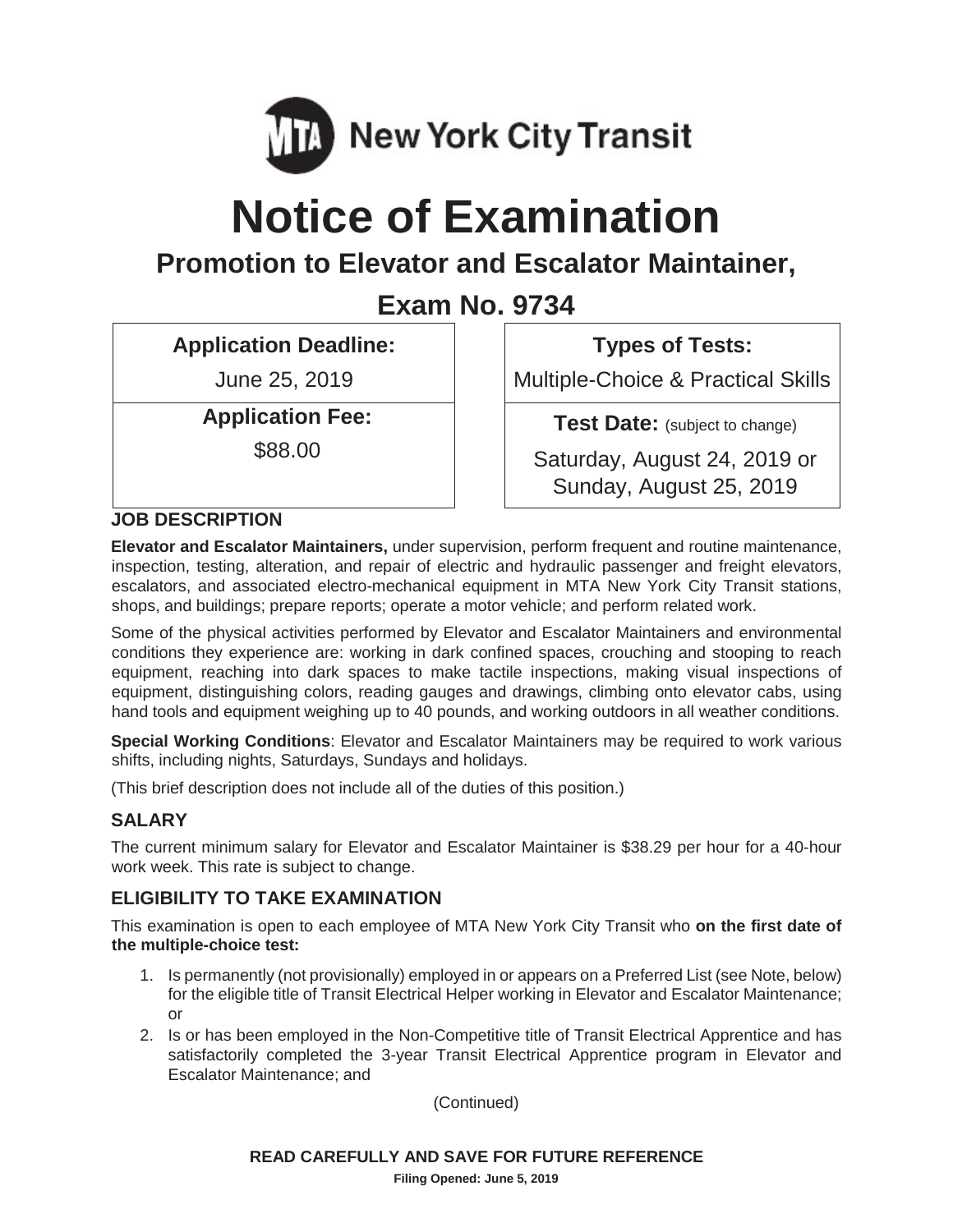

# **Notice of Examination**

## **Promotion to Elevator and Escalator Maintainer,**

**Exam No. 9734**

**Application Deadline:**

June 25, 2019

**Application Fee:**

\$88.00

**Types of Tests:**

Multiple-Choice & Practical Skills

**Test Date:** (subject to change)

Saturday, August 24, 2019 or Sunday, August 25, 2019

#### **JOB DESCRIPTION**

**Elevator and Escalator Maintainers,** under supervision, perform frequent and routine maintenance, inspection, testing, alteration, and repair of electric and hydraulic passenger and freight elevators, escalators, and associated electro-mechanical equipment in MTA New York City Transit stations, shops, and buildings; prepare reports; operate a motor vehicle; and perform related work.

Some of the physical activities performed by Elevator and Escalator Maintainers and environmental conditions they experience are: working in dark confined spaces, crouching and stooping to reach equipment, reaching into dark spaces to make tactile inspections, making visual inspections of equipment, distinguishing colors, reading gauges and drawings, climbing onto elevator cabs, using hand tools and equipment weighing up to 40 pounds, and working outdoors in all weather conditions.

**Special Working Conditions**: Elevator and Escalator Maintainers may be required to work various shifts, including nights, Saturdays, Sundays and holidays.

(This brief description does not include all of the duties of this position.)

#### **SALARY**

The current minimum salary for Elevator and Escalator Maintainer is \$38.29 per hour for a 40-hour work week. This rate is subject to change.

#### **ELIGIBILITY TO TAKE EXAMINATION**

This examination is open to each employee of MTA New York City Transit who **on the first date of the multiple-choice test:**

- 1. Is permanently (not provisionally) employed in or appears on a Preferred List (see Note, below) for the eligible title of Transit Electrical Helper working in Elevator and Escalator Maintenance; or
- 2. Is or has been employed in the Non-Competitive title of Transit Electrical Apprentice and has satisfactorily completed the 3-year Transit Electrical Apprentice program in Elevator and Escalator Maintenance; and

(Continued)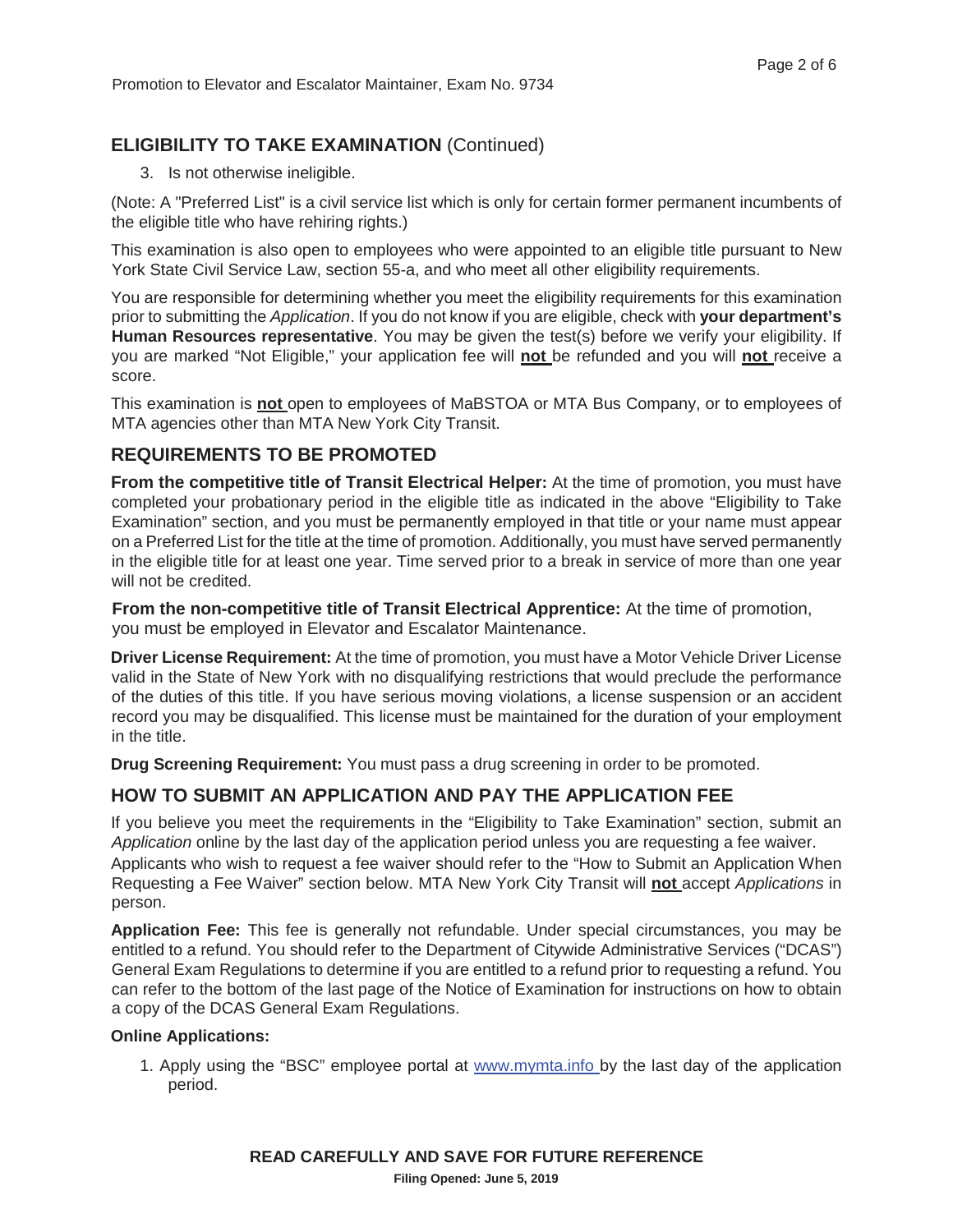#### **ELIGIBILITY TO TAKE EXAMINATION** (Continued)

3. Is not otherwise ineligible.

(Note: A "Preferred List" is a civil service list which is only for certain former permanent incumbents of the eligible title who have rehiring rights.)

This examination is also open to employees who were appointed to an eligible title pursuant to New York State Civil Service Law, section 55-a, and who meet all other eligibility requirements.

You are responsible for determining whether you meet the eligibility requirements for this examination prior to submitting the *Application*. If you do not know if you are eligible, check with **your department's Human Resources representative**. You may be given the test(s) before we verify your eligibility. If you are marked "Not Eligible," your application fee will **not** be refunded and you will **not** receive a score.

This examination is **not** open to employees of MaBSTOA or MTA Bus Company, or to employees of MTA agencies other than MTA New York City Transit.

#### **REQUIREMENTS TO BE PROMOTED**

**From the competitive title of Transit Electrical Helper:** At the time of promotion, you must have completed your probationary period in the eligible title as indicated in the above "Eligibility to Take Examination" section, and you must be permanently employed in that title or your name must appear on a Preferred List for the title at the time of promotion. Additionally, you must have served permanently in the eligible title for at least one year. Time served prior to a break in service of more than one year will not be credited.

**From the non-competitive title of Transit Electrical Apprentice:** At the time of promotion, you must be employed in Elevator and Escalator Maintenance.

**Driver License Requirement:** At the time of promotion, you must have a Motor Vehicle Driver License valid in the State of New York with no disqualifying restrictions that would preclude the performance of the duties of this title. If you have serious moving violations, a license suspension or an accident record you may be disqualified. This license must be maintained for the duration of your employment in the title.

**Drug Screening Requirement:** You must pass a drug screening in order to be promoted.

#### **HOW TO SUBMIT AN APPLICATION AND PAY THE APPLICATION FEE**

If you believe you meet the requirements in the "Eligibility to Take Examination" section, submit an *Application* online by the last day of the application period unless you are requesting a fee waiver. Applicants who wish to request a fee waiver should refer to the "How to Submit an Application When Requesting a Fee Waiver" section below. MTA New York City Transit will **not** accept *Applications* in person.

**Application Fee:** This fee is generally not refundable. Under special circumstances, you may be entitled to a refund. You should refer to the Department of Citywide Administrative Services ("DCAS") General Exam Regulations to determine if you are entitled to a refund prior to requesting a refund. You can refer to the bottom of the last page of the Notice of Examination for instructions on how to obtain a copy of the DCAS General Exam Regulations.

#### **Online Applications:**

1. Apply using the "BSC" employee portal at www.mymta.info by the last day of the application period.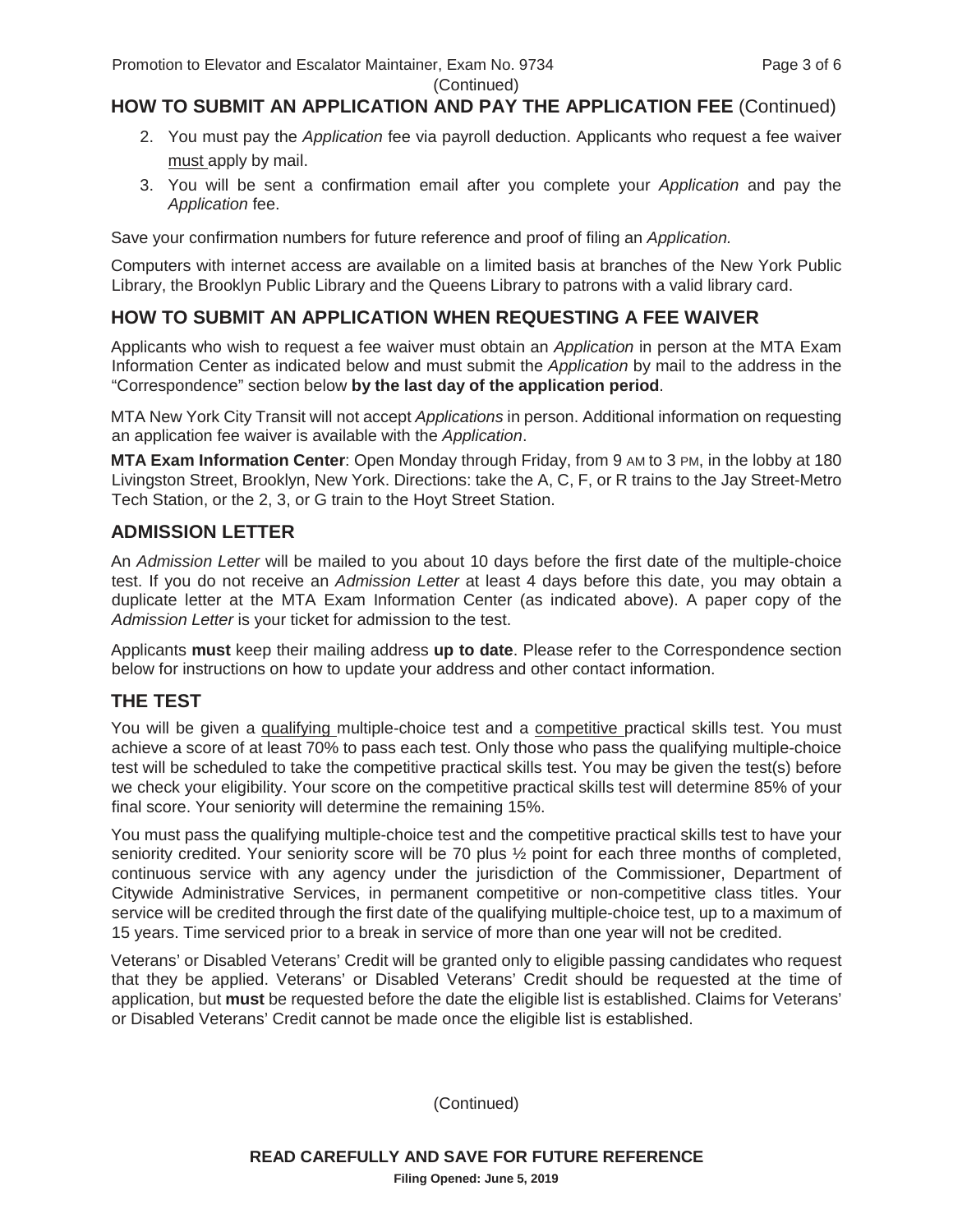### (Continued)

#### **HOW TO SUBMIT AN APPLICATION AND PAY THE APPLICATION FEE** (Continued)

- 2. You must pay the *Application* fee via payroll deduction. Applicants who request a fee waiver must apply by mail.
- 3. You will be sent a confirmation email after you complete your *Application* and pay the *Application* fee.

Save your confirmation numbers for future reference and proof of filing an *Application.*

Computers with internet access are available on a limited basis at branches of the New York Public Library, the Brooklyn Public Library and the Queens Library to patrons with a valid library card.

#### **HOW TO SUBMIT AN APPLICATION WHEN REQUESTING A FEE WAIVER**

Applicants who wish to request a fee waiver must obtain an *Application* in person at the MTA Exam Information Center as indicated below and must submit the *Application* by mail to the address in the "Correspondence" section below **by the last day of the application period**.

MTA New York City Transit will not accept *Applications* in person. Additional information on requesting an application fee waiver is available with the *Application*.

**MTA Exam Information Center**: Open Monday through Friday, from 9 AM to 3 PM, in the lobby at 180 Livingston Street, Brooklyn, New York. Directions: take the A, C, F, or R trains to the Jay Street-Metro Tech Station, or the 2, 3, or G train to the Hoyt Street Station.

#### **ADMISSION LETTER**

An *Admission Letter* will be mailed to you about 10 days before the first date of the multiple-choice test. If you do not receive an *Admission Letter* at least 4 days before this date, you may obtain a duplicate letter at the MTA Exam Information Center (as indicated above). A paper copy of the *Admission Letter* is your ticket for admission to the test.

Applicants **must** keep their mailing address **up to date**. Please refer to the Correspondence section below for instructions on how to update your address and other contact information.

#### **THE TEST**

You will be given a qualifying multiple-choice test and a competitive practical skills test. You must achieve a score of at least 70% to pass each test. Only those who pass the qualifying multiple-choice test will be scheduled to take the competitive practical skills test. You may be given the test(s) before we check your eligibility. Your score on the competitive practical skills test will determine 85% of your final score. Your seniority will determine the remaining 15%.

You must pass the qualifying multiple-choice test and the competitive practical skills test to have your seniority credited. Your seniority score will be 70 plus ½ point for each three months of completed, continuous service with any agency under the jurisdiction of the Commissioner, Department of Citywide Administrative Services, in permanent competitive or non-competitive class titles. Your service will be credited through the first date of the qualifying multiple-choice test, up to a maximum of 15 years. Time serviced prior to a break in service of more than one year will not be credited.

Veterans' or Disabled Veterans' Credit will be granted only to eligible passing candidates who request that they be applied. Veterans' or Disabled Veterans' Credit should be requested at the time of application, but **must** be requested before the date the eligible list is established. Claims for Veterans' or Disabled Veterans' Credit cannot be made once the eligible list is established.

(Continued)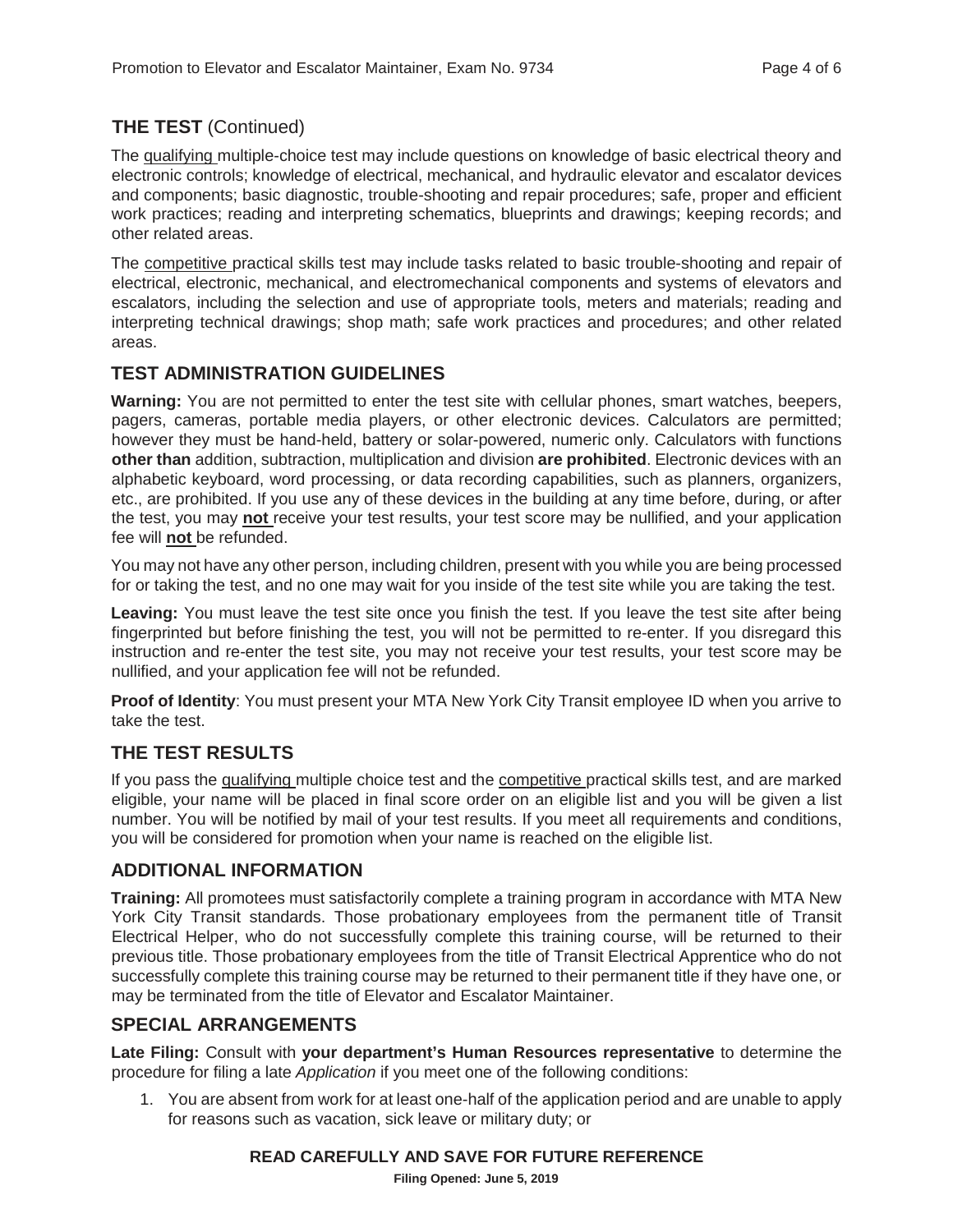#### **THE TEST** (Continued)

The qualifying multiple-choice test may include questions on knowledge of basic electrical theory and electronic controls; knowledge of electrical, mechanical, and hydraulic elevator and escalator devices and components; basic diagnostic, trouble-shooting and repair procedures; safe, proper and efficient work practices; reading and interpreting schematics, blueprints and drawings; keeping records; and other related areas.

The competitive practical skills test may include tasks related to basic trouble-shooting and repair of electrical, electronic, mechanical, and electromechanical components and systems of elevators and escalators, including the selection and use of appropriate tools, meters and materials; reading and interpreting technical drawings; shop math; safe work practices and procedures; and other related areas.

#### **TEST ADMINISTRATION GUIDELINES**

**Warning:** You are not permitted to enter the test site with cellular phones, smart watches, beepers, pagers, cameras, portable media players, or other electronic devices. Calculators are permitted; however they must be hand-held, battery or solar-powered, numeric only. Calculators with functions **other than** addition, subtraction, multiplication and division **are prohibited**. Electronic devices with an alphabetic keyboard, word processing, or data recording capabilities, such as planners, organizers, etc., are prohibited. If you use any of these devices in the building at any time before, during, or after the test, you may **not** receive your test results, your test score may be nullified, and your application fee will **not** be refunded.

You may not have any other person, including children, present with you while you are being processed for or taking the test, and no one may wait for you inside of the test site while you are taking the test.

Leaving: You must leave the test site once you finish the test. If you leave the test site after being fingerprinted but before finishing the test, you will not be permitted to re-enter. If you disregard this instruction and re-enter the test site, you may not receive your test results, your test score may be nullified, and your application fee will not be refunded.

**Proof of Identity**: You must present your MTA New York City Transit employee ID when you arrive to take the test.

#### **THE TEST RESULTS**

If you pass the qualifying multiple choice test and the competitive practical skills test, and are marked eligible, your name will be placed in final score order on an eligible list and you will be given a list number. You will be notified by mail of your test results. If you meet all requirements and conditions, you will be considered for promotion when your name is reached on the eligible list.

#### **ADDITIONAL INFORMATION**

**Training:** All promotees must satisfactorily complete a training program in accordance with MTA New York City Transit standards. Those probationary employees from the permanent title of Transit Electrical Helper, who do not successfully complete this training course, will be returned to their previous title. Those probationary employees from the title of Transit Electrical Apprentice who do not successfully complete this training course may be returned to their permanent title if they have one, or may be terminated from the title of Elevator and Escalator Maintainer.

#### **SPECIAL ARRANGEMENTS**

**Late Filing:** Consult with **your department's Human Resources representative** to determine the procedure for filing a late *Application* if you meet one of the following conditions:

1. You are absent from work for at least one-half of the application period and are unable to apply for reasons such as vacation, sick leave or military duty; or

#### **READ CAREFULLY AND SAVE FOR FUTURE REFERENCE**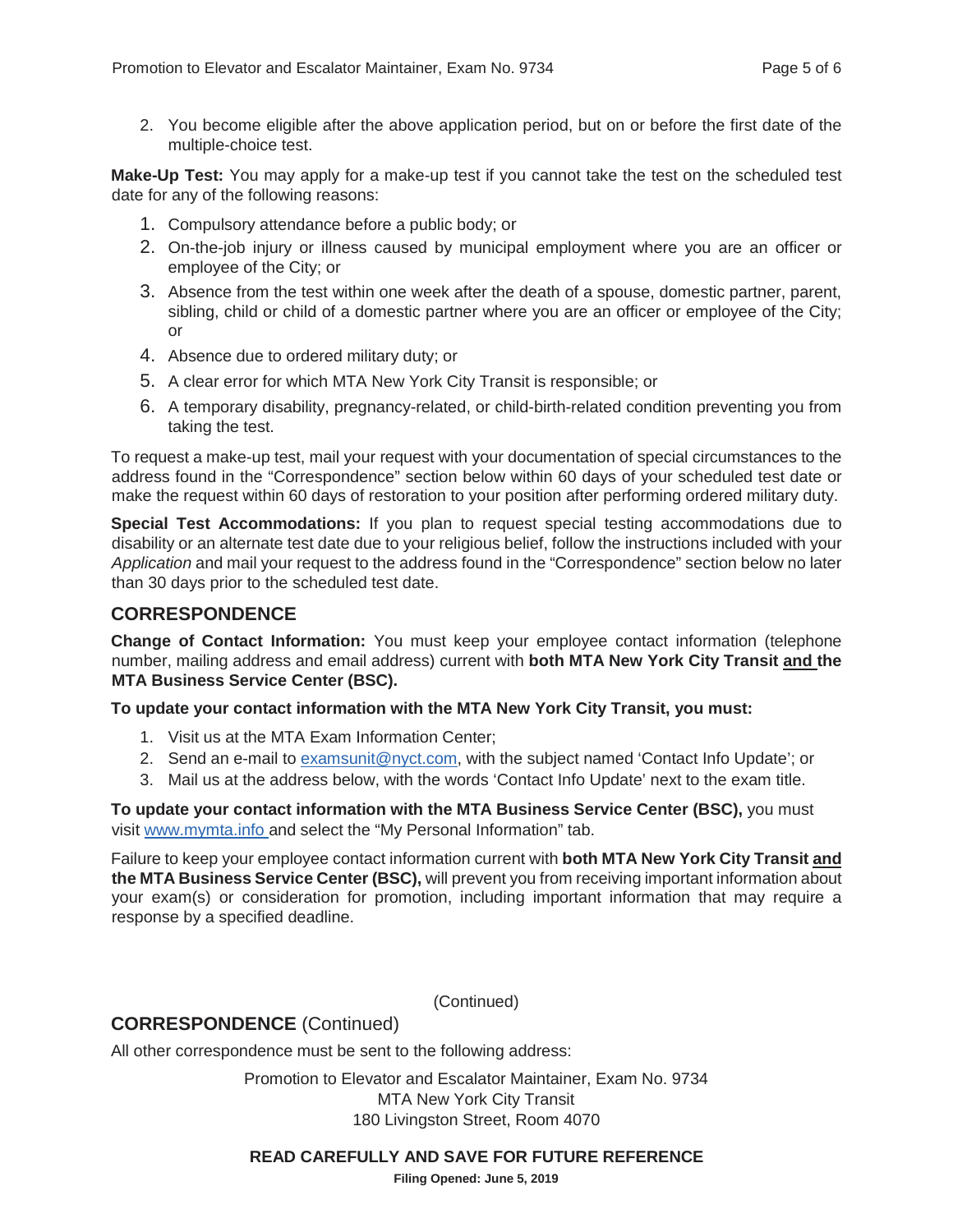2. You become eligible after the above application period, but on or before the first date of the multiple-choice test.

**Make-Up Test:** You may apply for a make-up test if you cannot take the test on the scheduled test date for any of the following reasons:

- 1. Compulsory attendance before a public body; or
- 2. On-the-job injury or illness caused by municipal employment where you are an officer or employee of the City; or
- 3. Absence from the test within one week after the death of a spouse, domestic partner, parent, sibling, child or child of a domestic partner where you are an officer or employee of the City; or
- 4. Absence due to ordered military duty; or
- 5. A clear error for which MTA New York City Transit is responsible; or
- 6. A temporary disability, pregnancy-related, or child-birth-related condition preventing you from taking the test.

To request a make-up test, mail your request with your documentation of special circumstances to the address found in the "Correspondence" section below within 60 days of your scheduled test date or make the request within 60 days of restoration to your position after performing ordered military duty.

**Special Test Accommodations:** If you plan to request special testing accommodations due to disability or an alternate test date due to your religious belief, follow the instructions included with your *Application* and mail your request to the address found in the "Correspondence" section below no later than 30 days prior to the scheduled test date.

#### **CORRESPONDENCE**

**Change of Contact Information:** You must keep your employee contact information (telephone number, mailing address and email address) current with **both MTA New York City Transit and the MTA Business Service Center (BSC).**

**To update your contact information with the MTA New York City Transit, you must:**

- 1. Visit us at the MTA Exam Information Center;
- 2. Send an e-mail to examsunit@nyct.com, with the subject named 'Contact Info Update'; or
- 3. Mail us at the address below, with the words 'Contact Info Update' next to the exam title.

**To update your contact information with the MTA Business Service Center (BSC),** you must visit www.mymta.info and select the "My Personal Information" tab.

Failure to keep your employee contact information current with **both MTA New York City Transit and the MTA Business Service Center (BSC),** will prevent you from receiving important information about your exam(s) or consideration for promotion, including important information that may require a response by a specified deadline.

(Continued)

#### **CORRESPONDENCE** (Continued)

All other correspondence must be sent to the following address:

Promotion to Elevator and Escalator Maintainer, Exam No. 9734 MTA New York City Transit 180 Livingston Street, Room 4070

#### **READ CAREFULLY AND SAVE FOR FUTURE REFERENCE**